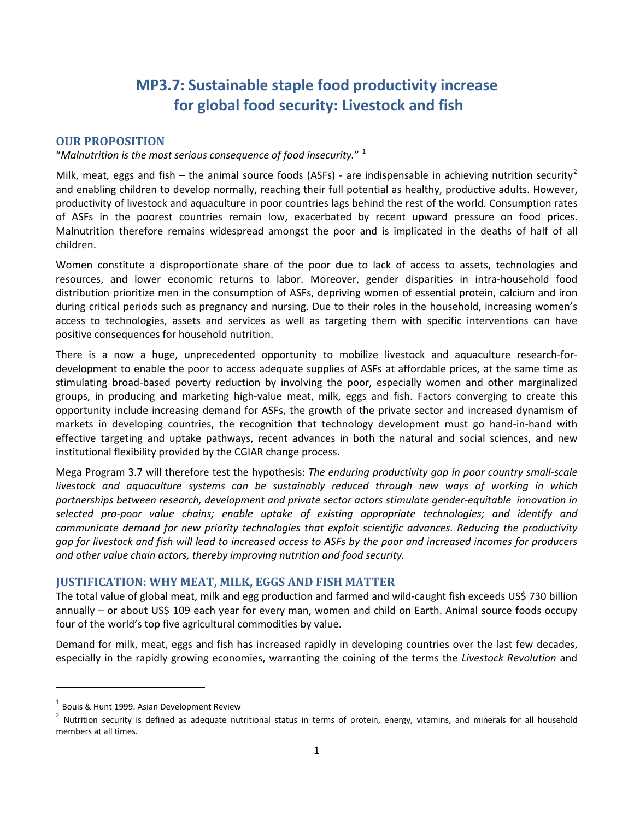# **MP3.7: Sustainable staple food productivity increase for global food security: Livestock and fish**

## **OUR PROPOSITION**

## "*Malnutrition is the most serious consequence of food insecurity.*" [1](#page-0-0)

Milk, meat, eggs and fish – the animal source foods (ASFs) - are indispensable in achieving nutrition security<sup>[2](#page-0-1)</sup> and enabling children to develop normally, reaching their full potential as healthy, productive adults. However, productivity of livestock and aquaculture in poor countries lags behind the rest of the world. Consumption rates of ASFs in the poorest countries remain low, exacerbated by recent upward pressure on food prices. Malnutrition therefore remains widespread amongst the poor and is implicated in the deaths of half of all children.

Women constitute a disproportionate share of the poor due to lack of access to assets, technologies and resources, and lower economic returns to labor. Moreover, gender disparities in intra‐household food distribution prioritize men in the consumption of ASFs, depriving women of essential protein, calcium and iron during critical periods such as pregnancy and nursing. Due to their roles in the household, increasing women's access to technologies, assets and services as well as targeting them with specific interventions can have positive consequences for household nutrition.

There is a now a huge, unprecedented opportunity to mobilize livestock and aquaculture research-fordevelopment to enable the poor to access adequate supplies of ASFs at affordable prices, at the same time as stimulating broad‐based poverty reduction by involving the poor, especially women and other marginalized groups, in producing and marketing high‐value meat, milk, eggs and fish. Factors converging to create this opportunity include increasing demand for ASFs, the growth of the private sector and increased dynamism of markets in developing countries, the recognition that technology development must go hand‐in‐hand with effective targeting and uptake pathways, recent advances in both the natural and social sciences, and new institutional flexibility provided by the CGIAR change process.

Mega Program 3.7 will therefore test the hypothesis: *The enduring productivity gap in poor country small‐scale livestock and aquaculture systems can be sustainably reduced through new ways of working in which partnerships between research, development and private sector actors stimulate gender‐equitable innovation in selected pro‐poor value chains; enable uptake of existing appropriate technologies; and identify and communicate demand for new priority technologies that exploit scientific advances. Reducing the productivity* gap for livestock and fish will lead to increased access to ASFs by the poor and increased incomes for producers *and other value chain actors, thereby improving nutrition and food security.*

#### **JUSTIFICATION: WHY MEAT, MILK, EGGS AND FISH MATTER**

The total value of global meat, milk and egg production and farmed and wild‐caught fish exceeds US\$ 730 billion annually – or about US\$ 109 each year for every man, women and child on Earth. Animal source foods occupy four of the world's top five agricultural commodities by value.

Demand for milk, meat, eggs and fish has increased rapidly in developing countries over the last few decades, especially in the rapidly growing economies, warranting the coining of the terms the *Livestock Revolution* and

<span id="page-0-0"></span> $1$  Bouis & Hunt 1999. Asian Development Review

<span id="page-0-1"></span><sup>&</sup>lt;sup>2</sup> Nutrition security is defined as adequate nutritional status in terms of protein, energy, vitamins, and minerals for all household members at all times.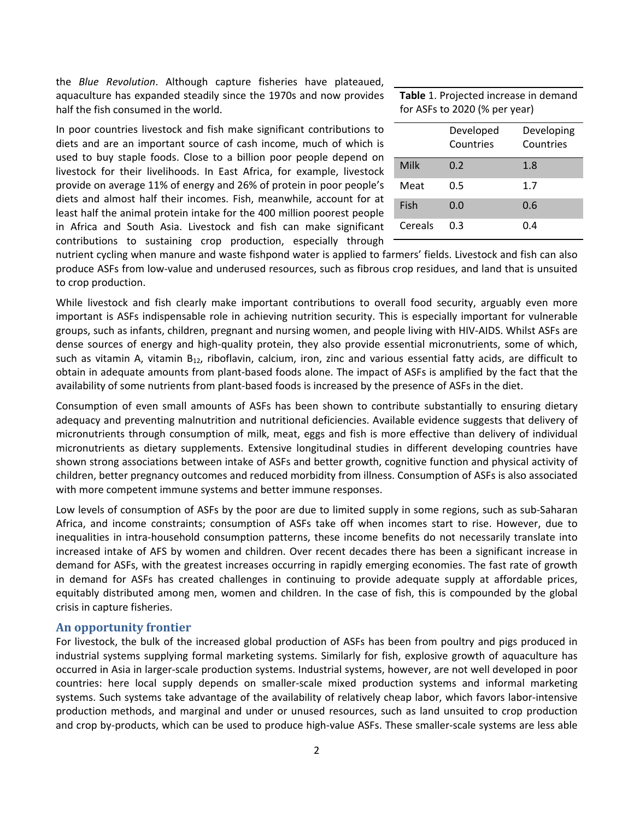the *Blue Revolution*. Although capture fisheries have plateaued, aquaculture has expanded steadily since the 1970s and now provides half the fish consumed in the world.

In poor countries livestock and fish make significant contributions to diets and are an important source of cash income, much of which is used to buy staple foods. Close to a billion poor people depend on livestock for their livelihoods. In East Africa, for example, livestock provide on average 11% of energy and 26% of protein in poor people's diets and almost half their incomes. Fish, meanwhile, account for at least half the animal protein intake for the 400 million poorest people in Africa and South Asia. Livestock and fish can make significant contributions to sustaining crop production, especially through

| Table 1. Projected increase in demand |
|---------------------------------------|
| for ASFs to 2020 (% per year)         |

|         | Developed<br>Countries | Developing<br>Countries |
|---------|------------------------|-------------------------|
| Milk    | 0.2                    | 1.8                     |
| Meat    | 0.5                    | 1.7                     |
| Fish    | 0.0                    | 0.6                     |
| Cereals | 0.3                    | 0.4                     |

nutrient cycling when manure and waste fishpond water is applied to farmers' fields. Livestock and fish can also produce ASFs from low‐value and underused resources, such as fibrous crop residues, and land that is unsuited to crop production.

While livestock and fish clearly make important contributions to overall food security, arguably even more important is ASFs indispensable role in achieving nutrition security. This is especially important for vulnerable groups, such as infants, children, pregnant and nursing women, and people living with HIV‐AIDS. Whilst ASFs are dense sources of energy and high‐quality protein, they also provide essential micronutrients, some of which, such as vitamin A, vitamin  $B_{12}$ , riboflavin, calcium, iron, zinc and various essential fatty acids, are difficult to obtain in adequate amounts from plant‐based foods alone. The impact of ASFs is amplified by the fact that the availability of some nutrients from plant‐based foods is increased by the presence of ASFs in the diet.

Consumption of even small amounts of ASFs has been shown to contribute substantially to ensuring dietary adequacy and preventing malnutrition and nutritional deficiencies. Available evidence suggests that delivery of micronutrients through consumption of milk, meat, eggs and fish is more effective than delivery of individual micronutrients as dietary supplements. Extensive longitudinal studies in different developing countries have shown strong associations between intake of ASFs and better growth, cognitive function and physical activity of children, better pregnancy outcomes and reduced morbidity from illness. Consumption of ASFs is also associated with more competent immune systems and better immune responses.

Low levels of consumption of ASFs by the poor are due to limited supply in some regions, such as sub‐Saharan Africa, and income constraints; consumption of ASFs take off when incomes start to rise. However, due to inequalities in intra‐household consumption patterns, these income benefits do not necessarily translate into increased intake of AFS by women and children. Over recent decades there has been a significant increase in demand for ASFs, with the greatest increases occurring in rapidly emerging economies. The fast rate of growth in demand for ASFs has created challenges in continuing to provide adequate supply at affordable prices, equitably distributed among men, women and children. In the case of fish, this is compounded by the global crisis in capture fisheries.

#### **An opportunity frontier**

For livestock, the bulk of the increased global production of ASFs has been from poultry and pigs produced in industrial systems supplying formal marketing systems. Similarly for fish, explosive growth of aquaculture has occurred in Asia in larger‐scale production systems. Industrial systems, however, are not well developed in poor countries: here local supply depends on smaller‐scale mixed production systems and informal marketing systems. Such systems take advantage of the availability of relatively cheap labor, which favors labor‐intensive production methods, and marginal and under or unused resources, such as land unsuited to crop production and crop by-products, which can be used to produce high-value ASFs. These smaller-scale systems are less able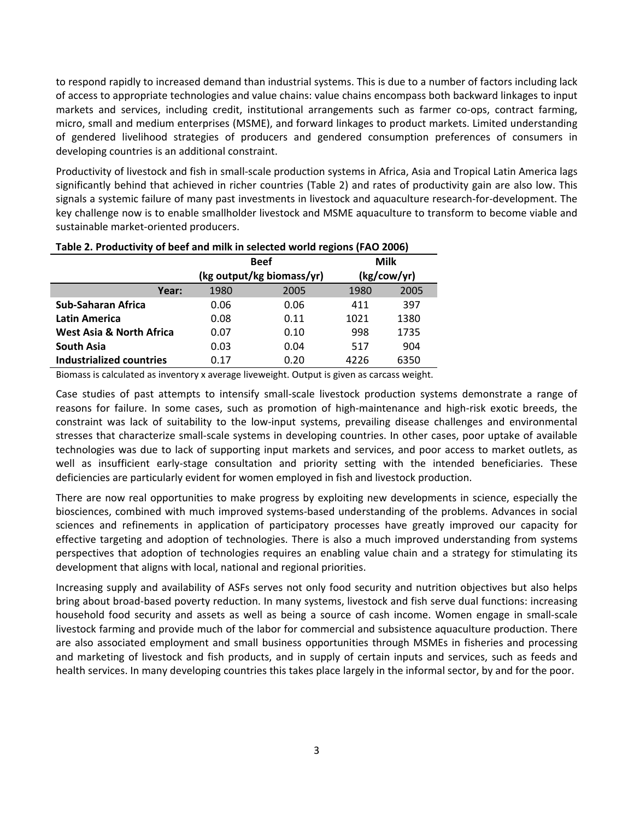to respond rapidly to increased demand than industrial systems. This is due to a number of factors including lack of access to appropriate technologies and value chains: value chains encompass both backward linkages to input markets and services, including credit, institutional arrangements such as farmer co‐ops, contract farming, micro, small and medium enterprises (MSME), and forward linkages to product markets. Limited understanding of gendered livelihood strategies of producers and gendered consumption preferences of consumers in developing countries is an additional constraint.

Productivity of livestock and fish in small‐scale production systems in Africa, Asia and Tropical Latin America lags significantly behind that achieved in richer countries (Table 2) and rates of productivity gain are also low. This signals a systemic failure of many past investments in livestock and aquaculture research-for-development. The key challenge now is to enable smallholder livestock and MSME aquaculture to transform to become viable and sustainable market‐oriented producers.

|                                     | <b>Beef</b>               |      | <b>Milk</b> |      |
|-------------------------------------|---------------------------|------|-------------|------|
|                                     | (kg output/kg biomass/yr) |      | (kg/cow/yr) |      |
| Year:                               | 1980                      | 2005 | 1980        | 2005 |
| <b>Sub-Saharan Africa</b>           | 0.06                      | 0.06 | 411         | 397  |
| <b>Latin America</b>                | 0.08                      | 0.11 | 1021        | 1380 |
| <b>West Asia &amp; North Africa</b> | 0.07                      | 0.10 | 998         | 1735 |
| <b>South Asia</b>                   | 0.03                      | 0.04 | 517         | 904  |
| <b>Industrialized countries</b>     | 0.17                      | 0.20 | 4226        | 6350 |

#### **Table 2. Productivity of beef and milk in selected world regions (FAO 2006)**

Biomass is calculated as inventory x average liveweight. Output is given as carcass weight.

Case studies of past attempts to intensify small‐scale livestock production systems demonstrate a range of reasons for failure. In some cases, such as promotion of high‐maintenance and high‐risk exotic breeds, the constraint was lack of suitability to the low-input systems, prevailing disease challenges and environmental stresses that characterize small‐scale systems in developing countries. In other cases, poor uptake of available technologies was due to lack of supporting input markets and services, and poor access to market outlets, as well as insufficient early-stage consultation and priority setting with the intended beneficiaries. These deficiencies are particularly evident for women employed in fish and livestock production.

There are now real opportunities to make progress by exploiting new developments in science, especially the biosciences, combined with much improved systems‐based understanding of the problems. Advances in social sciences and refinements in application of participatory processes have greatly improved our capacity for effective targeting and adoption of technologies. There is also a much improved understanding from systems perspectives that adoption of technologies requires an enabling value chain and a strategy for stimulating its development that aligns with local, national and regional priorities.

Increasing supply and availability of ASFs serves not only food security and nutrition objectives but also helps bring about broad‐based poverty reduction. In many systems, livestock and fish serve dual functions: increasing household food security and assets as well as being a source of cash income. Women engage in small‐scale livestock farming and provide much of the labor for commercial and subsistence aquaculture production. There are also associated employment and small business opportunities through MSMEs in fisheries and processing and marketing of livestock and fish products, and in supply of certain inputs and services, such as feeds and health services. In many developing countries this takes place largely in the informal sector, by and for the poor.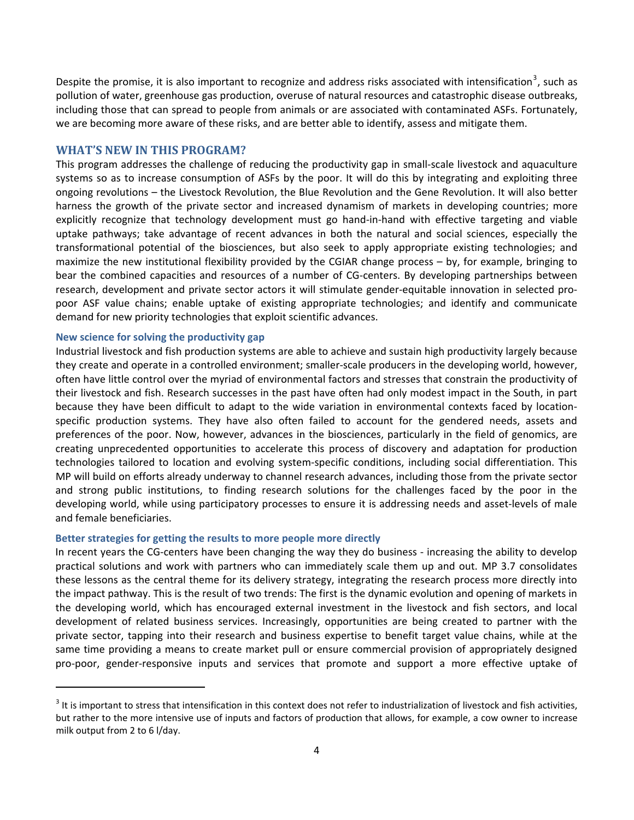Despite the promise, it is also important to recognize and address risks associated with intensification<sup>[3](#page-3-0)</sup>, such as pollution of water, greenhouse gas production, overuse of natural resources and catastrophic disease outbreaks, including those that can spread to people from animals or are associated with contaminated ASFs. Fortunately, we are becoming more aware of these risks, and are better able to identify, assess and mitigate them.

#### **WHAT'S NEW IN THIS PROGRAM?**

This program addresses the challenge of reducing the productivity gap in small‐scale livestock and aquaculture systems so as to increase consumption of ASFs by the poor. It will do this by integrating and exploiting three ongoing revolutions – the Livestock Revolution, the Blue Revolution and the Gene Revolution. It will also better harness the growth of the private sector and increased dynamism of markets in developing countries; more explicitly recognize that technology development must go hand‐in‐hand with effective targeting and viable uptake pathways; take advantage of recent advances in both the natural and social sciences, especially the transformational potential of the biosciences, but also seek to apply appropriate existing technologies; and maximize the new institutional flexibility provided by the CGIAR change process – by, for example, bringing to bear the combined capacities and resources of a number of CG‐centers. By developing partnerships between research, development and private sector actors it will stimulate gender‐equitable innovation in selected pro‐ poor ASF value chains; enable uptake of existing appropriate technologies; and identify and communicate demand for new priority technologies that exploit scientific advances.

#### **New science for solving the productivity gap**

Industrial livestock and fish production systems are able to achieve and sustain high productivity largely because they create and operate in a controlled environment; smaller‐scale producers in the developing world, however, often have little control over the myriad of environmental factors and stresses that constrain the productivity of their livestock and fish. Research successes in the past have often had only modest impact in the South, in part because they have been difficult to adapt to the wide variation in environmental contexts faced by location‐ specific production systems. They have also often failed to account for the gendered needs, assets and preferences of the poor. Now, however, advances in the biosciences, particularly in the field of genomics, are creating unprecedented opportunities to accelerate this process of discovery and adaptation for production technologies tailored to location and evolving system‐specific conditions, including social differentiation. This MP will build on efforts already underway to channel research advances, including those from the private sector and strong public institutions, to finding research solutions for the challenges faced by the poor in the developing world, while using participatory processes to ensure it is addressing needs and asset‐levels of male and female beneficiaries.

#### **Better strategies for getting the results to more people more directly**

In recent years the CG-centers have been changing the way they do business - increasing the ability to develop practical solutions and work with partners who can immediately scale them up and out. MP 3.7 consolidates these lessons as the central theme for its delivery strategy, integrating the research process more directly into the impact pathway. This is the result of two trends: The first is the dynamic evolution and opening of markets in the developing world, which has encouraged external investment in the livestock and fish sectors, and local development of related business services. Increasingly, opportunities are being created to partner with the private sector, tapping into their research and business expertise to benefit target value chains, while at the same time providing a means to create market pull or ensure commercial provision of appropriately designed pro‐poor, gender‐responsive inputs and services that promote and support a more effective uptake of

<span id="page-3-0"></span> $3$  It is important to stress that intensification in this context does not refer to industrialization of livestock and fish activities, but rather to the more intensive use of inputs and factors of production that allows, for example, a cow owner to increase milk output from 2 to 6 l/day.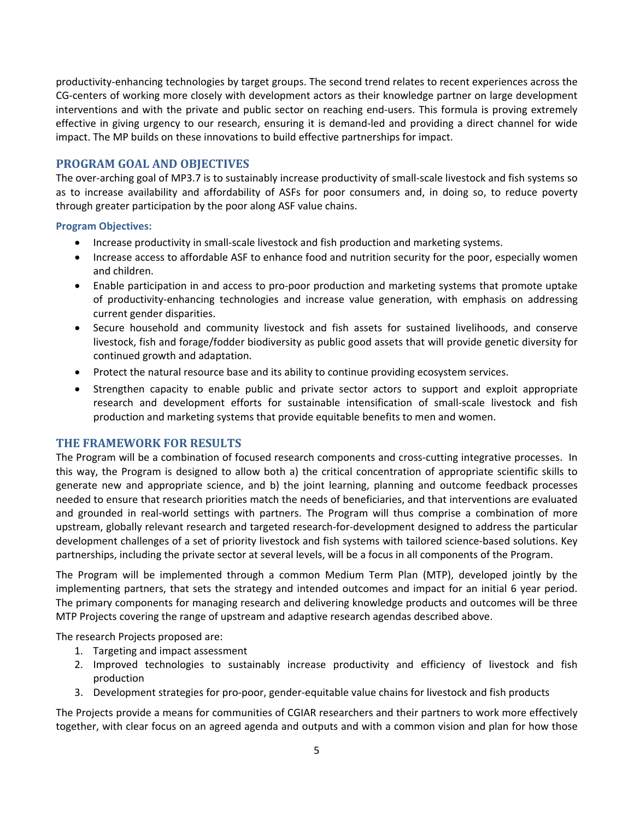productivity‐enhancing technologies by target groups. The second trend relates to recent experiences across the CG-centers of working more closely with development actors as their knowledge partner on large development interventions and with the private and public sector on reaching end‐users. This formula is proving extremely effective in giving urgency to our research, ensuring it is demand‐led and providing a direct channel for wide impact. The MP builds on these innovations to build effective partnerships for impact.

## **PROGRAM GOAL AND OBJECTIVES**

The over-arching goal of MP3.7 is to sustainably increase productivity of small-scale livestock and fish systems so as to increase availability and affordability of ASFs for poor consumers and, in doing so, to reduce poverty through greater participation by the poor along ASF value chains.

## **Program Objectives:**

- Increase productivity in small‐scale livestock and fish production and marketing systems.
- Increase access to affordable ASF to enhance food and nutrition security for the poor, especially women and children.
- Enable participation in and access to pro-poor production and marketing systems that promote uptake of productivity‐enhancing technologies and increase value generation, with emphasis on addressing current gender disparities.
- Secure household and community livestock and fish assets for sustained livelihoods, and conserve livestock, fish and forage/fodder biodiversity as public good assets that will provide genetic diversity for continued growth and adaptation.
- Protect the natural resource base and its ability to continue providing ecosystem services.
- Strengthen capacity to enable public and private sector actors to support and exploit appropriate research and development efforts for sustainable intensification of small‐scale livestock and fish production and marketing systems that provide equitable benefits to men and women.

## **THE FRAMEWORK FOR RESULTS**

The Program will be a combination of focused research components and cross-cutting integrative processes. In this way, the Program is designed to allow both a) the critical concentration of appropriate scientific skills to generate new and appropriate science, and b) the joint learning, planning and outcome feedback processes needed to ensure that research priorities match the needs of beneficiaries, and that interventions are evaluated and grounded in real‐world settings with partners. The Program will thus comprise a combination of more upstream, globally relevant research and targeted research‐for‐development designed to address the particular development challenges of a set of priority livestock and fish systems with tailored science‐based solutions. Key partnerships, including the private sector at several levels, will be a focus in all components of the Program.

The Program will be implemented through a common Medium Term Plan (MTP), developed jointly by the implementing partners, that sets the strategy and intended outcomes and impact for an initial 6 year period. The primary components for managing research and delivering knowledge products and outcomes will be three MTP Projects covering the range of upstream and adaptive research agendas described above.

The research Projects proposed are:

- 1. Targeting and impact assessment
- 2. Improved technologies to sustainably increase productivity and efficiency of livestock and fish production
- 3. Development strategies for pro‐poor, gender‐equitable value chains for livestock and fish products

The Projects provide a means for communities of CGIAR researchers and their partners to work more effectively together, with clear focus on an agreed agenda and outputs and with a common vision and plan for how those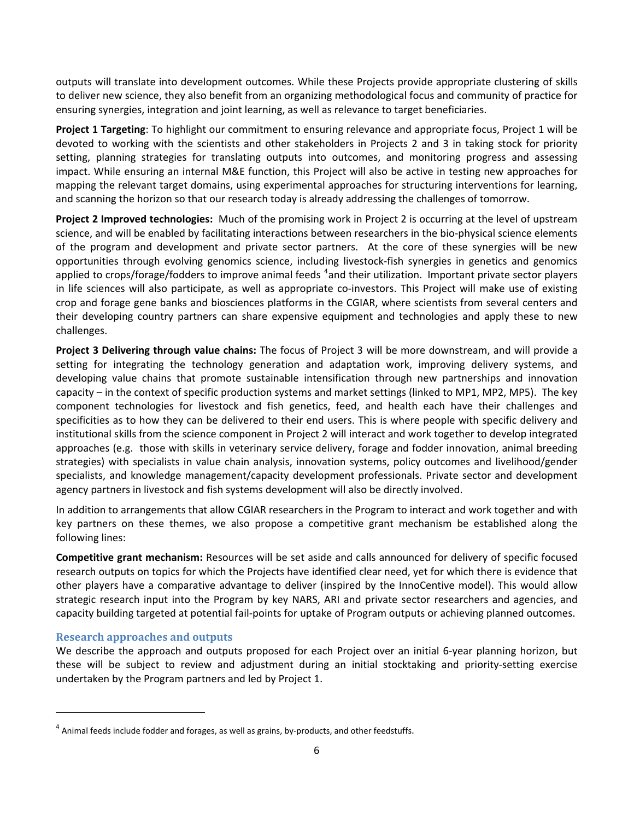outputs will translate into development outcomes. While these Projects provide appropriate clustering of skills to deliver new science, they also benefit from an organizing methodological focus and community of practice for ensuring synergies, integration and joint learning, as well as relevance to target beneficiaries.

**Project 1 Targeting**: To highlight our commitment to ensuring relevance and appropriate focus, Project 1 will be devoted to working with the scientists and other stakeholders in Projects 2 and 3 in taking stock for priority setting, planning strategies for translating outputs into outcomes, and monitoring progress and assessing impact. While ensuring an internal M&E function, this Project will also be active in testing new approaches for mapping the relevant target domains, using experimental approaches for structuring interventions for learning, and scanning the horizon so that our research today is already addressing the challenges of tomorrow.

**Project 2 Improved technologies:** Much of the promising work in Project 2 is occurring at the level of upstream science, and will be enabled by facilitating interactions between researchers in the bio‐physical science elements of the program and development and private sector partners. At the core of these synergies will be new opportunities through evolving genomics science, including livestock‐fish synergies in genetics and genomics applied to crops/forage/fodders to improve animal feeds <sup>[4](#page-5-0)</sup>and their utilization. Important private sector players in life sciences will also participate, as well as appropriate co-investors. This Project will make use of existing crop and forage gene banks and biosciences platforms in the CGIAR, where scientists from several centers and their developing country partners can share expensive equipment and technologies and apply these to new challenges.

**Project 3 Delivering through value chains:** The focus of Project 3 will be more downstream, and will provide a setting for integrating the technology generation and adaptation work, improving delivery systems, and developing value chains that promote sustainable intensification through new partnerships and innovation capacity – in the context of specific production systems and market settings (linked to MP1, MP2, MP5). The key component technologies for livestock and fish genetics, feed, and health each have their challenges and specificities as to how they can be delivered to their end users. This is where people with specific delivery and institutional skills from the science component in Project 2 will interact and work together to develop integrated approaches (e.g. those with skills in veterinary service delivery, forage and fodder innovation, animal breeding strategies) with specialists in value chain analysis, innovation systems, policy outcomes and livelihood/gender specialists, and knowledge management/capacity development professionals. Private sector and development agency partners in livestock and fish systems development will also be directly involved.

In addition to arrangements that allow CGIAR researchers in the Program to interact and work together and with key partners on these themes, we also propose a competitive grant mechanism be established along the following lines:

**Competitive grant mechanism:** Resources will be set aside and calls announced for delivery of specific focused research outputs on topics for which the Projects have identified clear need, yet for which there is evidence that other players have a comparative advantage to deliver (inspired by the InnoCentive model). This would allow strategic research input into the Program by key NARS, ARI and private sector researchers and agencies, and capacity building targeted at potential fail‐points for uptake of Program outputs or achieving planned outcomes.

## **Research approaches and outputs**

We describe the approach and outputs proposed for each Project over an initial 6-year planning horizon, but these will be subject to review and adjustment during an initial stocktaking and priority‐setting exercise undertaken by the Program partners and led by Project 1.

<span id="page-5-0"></span> $4$  Animal feeds include fodder and forages, as well as grains, by-products, and other feedstuffs.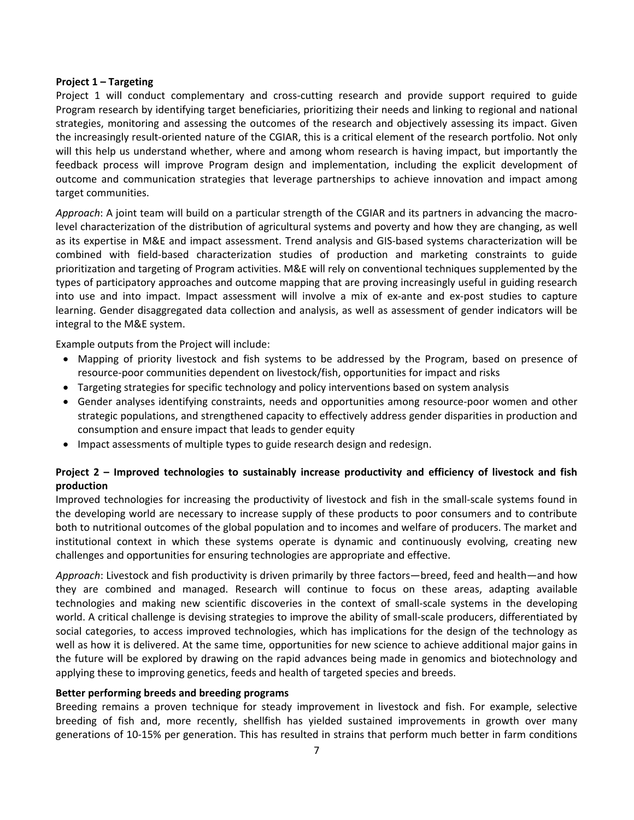#### **Project 1 – Targeting**

Project 1 will conduct complementary and cross‐cutting research and provide support required to guide Program research by identifying target beneficiaries, prioritizing their needs and linking to regional and national strategies, monitoring and assessing the outcomes of the research and objectively assessing its impact. Given the increasingly result‐oriented nature of the CGIAR, this is a critical element of the research portfolio. Not only will this help us understand whether, where and among whom research is having impact, but importantly the feedback process will improve Program design and implementation, including the explicit development of outcome and communication strategies that leverage partnerships to achieve innovation and impact among target communities.

*Approach*: A joint team will build on a particular strength of the CGIAR and its partners in advancing the macro‐ level characterization of the distribution of agricultural systems and poverty and how they are changing, as well as its expertise in M&E and impact assessment. Trend analysis and GIS‐based systems characterization will be combined with field‐based characterization studies of production and marketing constraints to guide prioritization and targeting of Program activities. M&E will rely on conventional techniques supplemented by the types of participatory approaches and outcome mapping that are proving increasingly useful in guiding research into use and into impact. Impact assessment will involve a mix of ex-ante and ex-post studies to capture learning. Gender disaggregated data collection and analysis, as well as assessment of gender indicators will be integral to the M&E system.

Example outputs from the Project will include:

- Mapping of priority livestock and fish systems to be addressed by the Program, based on presence of resource‐poor communities dependent on livestock/fish, opportunities for impact and risks
- Targeting strategies for specific technology and policy interventions based on system analysis
- Gender analyses identifying constraints, needs and opportunities among resource‐poor women and other strategic populations, and strengthened capacity to effectively address gender disparities in production and consumption and ensure impact that leads to gender equity
- Impact assessments of multiple types to guide research design and redesign.

## **Project 2 – Improved technologies to sustainably increase productivity and efficiency of livestock and fish production**

Improved technologies for increasing the productivity of livestock and fish in the small‐scale systems found in the developing world are necessary to increase supply of these products to poor consumers and to contribute both to nutritional outcomes of the global population and to incomes and welfare of producers. The market and institutional context in which these systems operate is dynamic and continuously evolving, creating new challenges and opportunities for ensuring technologies are appropriate and effective.

*Approach*: Livestock and fish productivity is driven primarily by three factors—breed, feed and health—and how they are combined and managed. Research will continue to focus on these areas, adapting available technologies and making new scientific discoveries in the context of small‐scale systems in the developing world. A critical challenge is devising strategies to improve the ability of small-scale producers, differentiated by social categories, to access improved technologies, which has implications for the design of the technology as well as how it is delivered. At the same time, opportunities for new science to achieve additional major gains in the future will be explored by drawing on the rapid advances being made in genomics and biotechnology and applying these to improving genetics, feeds and health of targeted species and breeds.

#### **Better performing breeds and breeding programs**

Breeding remains a proven technique for steady improvement in livestock and fish. For example, selective breeding of fish and, more recently, shellfish has yielded sustained improvements in growth over many generations of 10‐15% per generation. This has resulted in strains that perform much better in farm conditions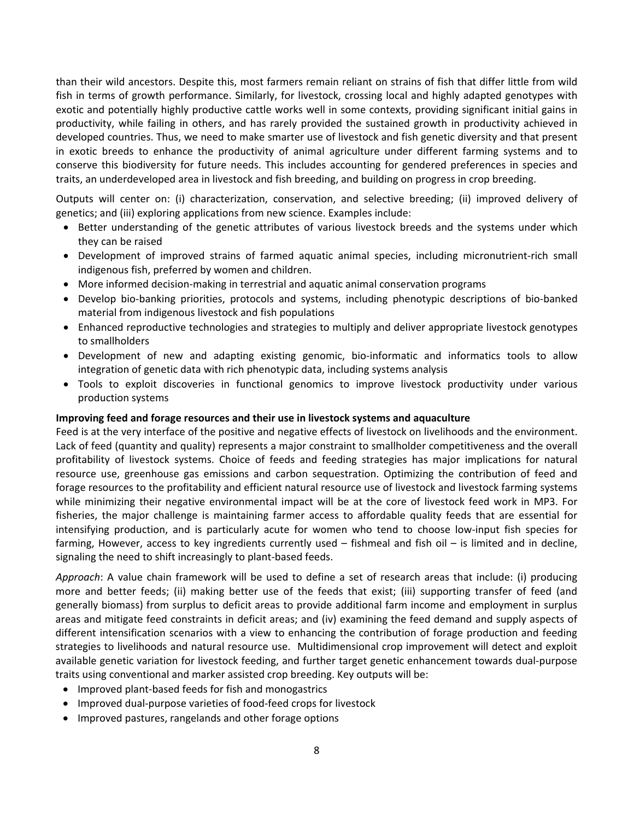than their wild ancestors. Despite this, most farmers remain reliant on strains of fish that differ little from wild fish in terms of growth performance. Similarly, for livestock, crossing local and highly adapted genotypes with exotic and potentially highly productive cattle works well in some contexts, providing significant initial gains in productivity, while failing in others, and has rarely provided the sustained growth in productivity achieved in developed countries. Thus, we need to make smarter use of livestock and fish genetic diversity and that present in exotic breeds to enhance the productivity of animal agriculture under different farming systems and to conserve this biodiversity for future needs. This includes accounting for gendered preferences in species and traits, an underdeveloped area in livestock and fish breeding, and building on progress in crop breeding.

Outputs will center on: (i) characterization, conservation, and selective breeding; (ii) improved delivery of genetics; and (iii) exploring applications from new science. Examples include:

- Better understanding of the genetic attributes of various livestock breeds and the systems under which they can be raised
- Development of improved strains of farmed aquatic animal species, including micronutrient‐rich small indigenous fish, preferred by women and children.
- More informed decision-making in terrestrial and aquatic animal conservation programs
- Develop bio‐banking priorities, protocols and systems, including phenotypic descriptions of bio‐banked material from indigenous livestock and fish populations
- Enhanced reproductive technologies and strategies to multiply and deliver appropriate livestock genotypes to smallholders
- Development of new and adapting existing genomic, bio-informatic and informatics tools to allow integration of genetic data with rich phenotypic data, including systems analysis
- Tools to exploit discoveries in functional genomics to improve livestock productivity under various production systems

#### **Improving feed and forage resources and their use in livestock systems and aquaculture**

Feed is at the very interface of the positive and negative effects of livestock on livelihoods and the environment. Lack of feed (quantity and quality) represents a major constraint to smallholder competitiveness and the overall profitability of livestock systems. Choice of feeds and feeding strategies has major implications for natural resource use, greenhouse gas emissions and carbon sequestration. Optimizing the contribution of feed and forage resources to the profitability and efficient natural resource use of livestock and livestock farming systems while minimizing their negative environmental impact will be at the core of livestock feed work in MP3. For fisheries, the major challenge is maintaining farmer access to affordable quality feeds that are essential for intensifying production, and is particularly acute for women who tend to choose low‐input fish species for farming, However, access to key ingredients currently used – fishmeal and fish oil – is limited and in decline, signaling the need to shift increasingly to plant-based feeds.

*Approach*: A value chain framework will be used to define a set of research areas that include: (i) producing more and better feeds; (ii) making better use of the feeds that exist; (iii) supporting transfer of feed (and generally biomass) from surplus to deficit areas to provide additional farm income and employment in surplus areas and mitigate feed constraints in deficit areas; and (iv) examining the feed demand and supply aspects of different intensification scenarios with a view to enhancing the contribution of forage production and feeding strategies to livelihoods and natural resource use. Multidimensional crop improvement will detect and exploit available genetic variation for livestock feeding, and further target genetic enhancement towards dual‐purpose traits using conventional and marker assisted crop breeding. Key outputs will be:

- Improved plant‐based feeds for fish and monogastrics
- Improved dual‐purpose varieties of food‐feed crops for livestock
- Improved pastures, rangelands and other forage options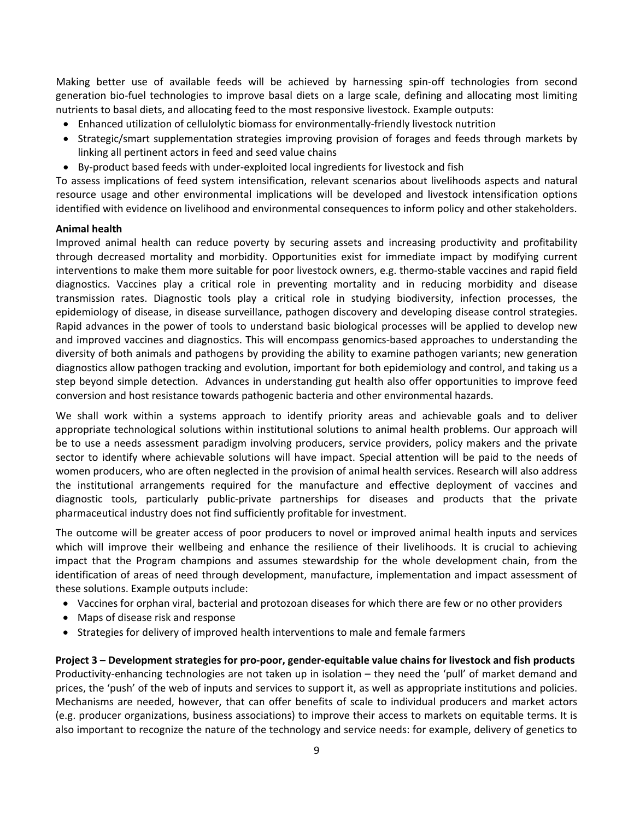Making better use of available feeds will be achieved by harnessing spin-off technologies from second generation bio‐fuel technologies to improve basal diets on a large scale, defining and allocating most limiting nutrients to basal diets, and allocating feed to the most responsive livestock. Example outputs:

- Enhanced utilization of cellulolytic biomass for environmentally‐friendly livestock nutrition
- Strategic/smart supplementation strategies improving provision of forages and feeds through markets by linking all pertinent actors in feed and seed value chains
- By‐product based feeds with under‐exploited local ingredients for livestock and fish

To assess implications of feed system intensification, relevant scenarios about livelihoods aspects and natural resource usage and other environmental implications will be developed and livestock intensification options identified with evidence on livelihood and environmental consequences to inform policy and other stakeholders.

#### **Animal health**

Improved animal health can reduce poverty by securing assets and increasing productivity and profitability through decreased mortality and morbidity. Opportunities exist for immediate impact by modifying current interventions to make them more suitable for poor livestock owners, e.g. thermo‐stable vaccines and rapid field diagnostics. Vaccines play a critical role in preventing mortality and in reducing morbidity and disease transmission rates. Diagnostic tools play a critical role in studying biodiversity, infection processes, the epidemiology of disease, in disease surveillance, pathogen discovery and developing disease control strategies. Rapid advances in the power of tools to understand basic biological processes will be applied to develop new and improved vaccines and diagnostics. This will encompass genomics‐based approaches to understanding the diversity of both animals and pathogens by providing the ability to examine pathogen variants; new generation diagnostics allow pathogen tracking and evolution, important for both epidemiology and control, and taking us a step beyond simple detection. Advances in understanding gut health also offer opportunities to improve feed conversion and host resistance towards pathogenic bacteria and other environmental hazards.

We shall work within a systems approach to identify priority areas and achievable goals and to deliver appropriate technological solutions within institutional solutions to animal health problems. Our approach will be to use a needs assessment paradigm involving producers, service providers, policy makers and the private sector to identify where achievable solutions will have impact. Special attention will be paid to the needs of women producers, who are often neglected in the provision of animal health services. Research will also address the institutional arrangements required for the manufacture and effective deployment of vaccines and diagnostic tools, particularly public‐private partnerships for diseases and products that the private pharmaceutical industry does not find sufficiently profitable for investment.

The outcome will be greater access of poor producers to novel or improved animal health inputs and services which will improve their wellbeing and enhance the resilience of their livelihoods. It is crucial to achieving impact that the Program champions and assumes stewardship for the whole development chain, from the identification of areas of need through development, manufacture, implementation and impact assessment of these solutions. Example outputs include:

- Vaccines for orphan viral, bacterial and protozoan diseases for which there are few or no other providers
- Maps of disease risk and response
- Strategies for delivery of improved health interventions to male and female farmers

Project 3 – Development strategies for pro-poor, gender-equitable value chains for livestock and fish products Productivity‐enhancing technologies are not taken up in isolation – they need the 'pull' of market demand and prices, the 'push' of the web of inputs and services to support it, as well as appropriate institutions and policies. Mechanisms are needed, however, that can offer benefits of scale to individual producers and market actors (e.g. producer organizations, business associations) to improve their access to markets on equitable terms. It is also important to recognize the nature of the technology and service needs: for example, delivery of genetics to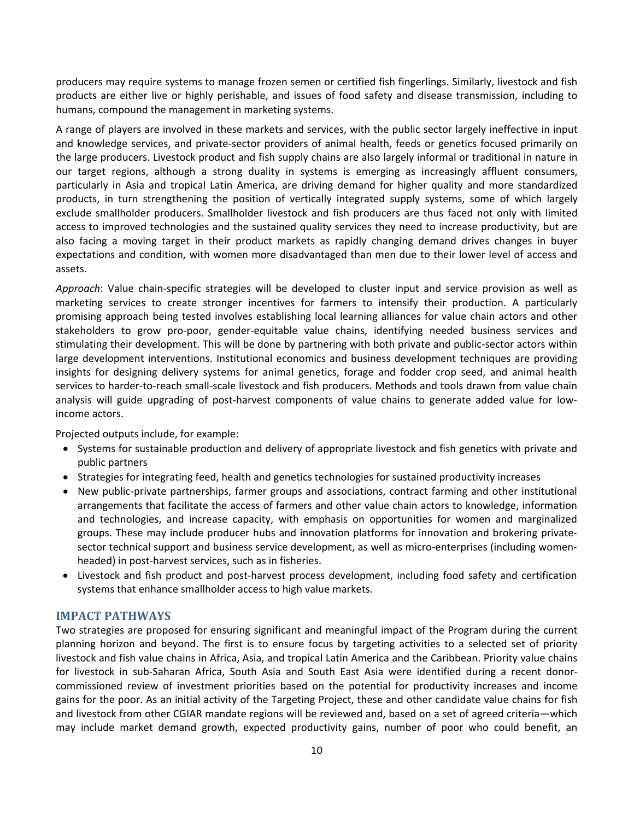producers may require systems to manage frozen semen or certified fish fingerlings. Similarly, livestock and fish products are either live or highly perishable, and issues of food safety and disease transmission, including to humans, compound the management in marketing systems.

A range of players are involved in these markets and services, with the public sector largely ineffective in input and knowledge services, and private‐sector providers of animal health, feeds or genetics focused primarily on the large producers. Livestock product and fish supply chains are also largely informal or traditional in nature in our target regions, although a strong duality in systems is emerging as increasingly affluent consumers, particularly in Asia and tropical Latin America, are driving demand for higher quality and more standardized products, in turn strengthening the position of vertically integrated supply systems, some of which largely exclude smallholder producers. Smallholder livestock and fish producers are thus faced not only with limited access to improved technologies and the sustained quality services they need to increase productivity, but are also facing a moving target in their product markets as rapidly changing demand drives changes in buyer expectations and condition, with women more disadvantaged than men due to their lower level of access and assets.

*Approach*: Value chain‐specific strategies will be developed to cluster input and service provision as well as marketing services to create stronger incentives for farmers to intensify their production. A particularly promising approach being tested involves establishing local learning alliances for value chain actors and other stakeholders to grow pro‐poor, gender‐equitable value chains, identifying needed business services and stimulating their development. This will be done by partnering with both private and public‐sector actors within large development interventions. Institutional economics and business development techniques are providing insights for designing delivery systems for animal genetics, forage and fodder crop seed, and animal health services to harder-to-reach small-scale livestock and fish producers. Methods and tools drawn from value chain analysis will guide upgrading of post-harvest components of value chains to generate added value for lowincome actors.

Projected outputs include, for example:

- Systems for sustainable production and delivery of appropriate livestock and fish genetics with private and public partners
- Strategies for integrating feed, health and genetics technologies for sustained productivity increases
- New public‐private partnerships, farmer groups and associations, contract farming and other institutional arrangements that facilitate the access of farmers and other value chain actors to knowledge, information and technologies, and increase capacity, with emphasis on opportunities for women and marginalized groups. These may include producer hubs and innovation platforms for innovation and brokering private‐ sector technical support and business service development, as well as micro-enterprises (including womenheaded) in post-harvest services, such as in fisheries.
- Livestock and fish product and post‐harvest process development, including food safety and certification systems that enhance smallholder access to high value markets.

## **IMPACT PATHWAYS**

Two strategies are proposed for ensuring significant and meaningful impact of the Program during the current planning horizon and beyond. The first is to ensure focus by targeting activities to a selected set of priority livestock and fish value chains in Africa, Asia, and tropical Latin America and the Caribbean. Priority value chains for livestock in sub-Saharan Africa, South Asia and South East Asia were identified during a recent donorcommissioned review of investment priorities based on the potential for productivity increases and income gains for the poor. As an initial activity of the Targeting Project, these and other candidate value chains for fish and livestock from other CGIAR mandate regions will be reviewed and, based on a set of agreed criteria—which may include market demand growth, expected productivity gains, number of poor who could benefit, an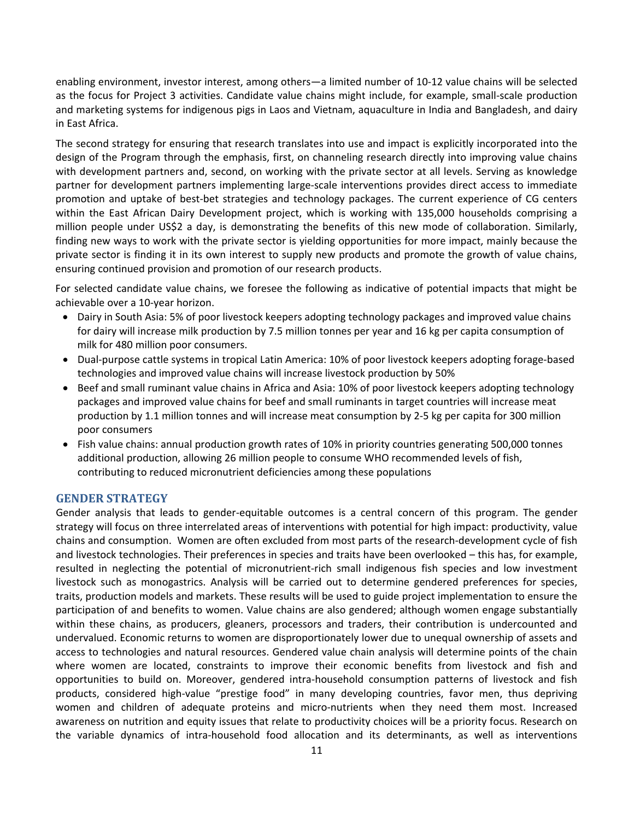enabling environment, investor interest, among others—a limited number of 10‐12 value chains will be selected as the focus for Project 3 activities. Candidate value chains might include, for example, small‐scale production and marketing systems for indigenous pigs in Laos and Vietnam, aquaculture in India and Bangladesh, and dairy in East Africa.

The second strategy for ensuring that research translates into use and impact is explicitly incorporated into the design of the Program through the emphasis, first, on channeling research directly into improving value chains with development partners and, second, on working with the private sector at all levels. Serving as knowledge partner for development partners implementing large‐scale interventions provides direct access to immediate promotion and uptake of best‐bet strategies and technology packages. The current experience of CG centers within the East African Dairy Development project, which is working with 135,000 households comprising a million people under US\$2 a day, is demonstrating the benefits of this new mode of collaboration. Similarly, finding new ways to work with the private sector is yielding opportunities for more impact, mainly because the private sector is finding it in its own interest to supply new products and promote the growth of value chains, ensuring continued provision and promotion of our research products.

For selected candidate value chains, we foresee the following as indicative of potential impacts that might be achievable over a 10‐year horizon.

- Dairy in South Asia: 5% of poor livestock keepers adopting technology packages and improved value chains for dairy will increase milk production by 7.5 million tonnes per year and 16 kg per capita consumption of milk for 480 million poor consumers.
- Dual‐purpose cattle systems in tropical Latin America: 10% of poor livestock keepers adopting forage‐based technologies and improved value chains will increase livestock production by 50%
- Beef and small ruminant value chains in Africa and Asia: 10% of poor livestock keepers adopting technology packages and improved value chains for beef and small ruminants in target countries will increase meat production by 1.1 million tonnes and will increase meat consumption by 2‐5 kg per capita for 300 million poor consumers
- Fish value chains: annual production growth rates of 10% in priority countries generating 500,000 tonnes additional production, allowing 26 million people to consume WHO recommended levels of fish, contributing to reduced micronutrient deficiencies among these populations

#### **GENDER STRATEGY**

Gender analysis that leads to gender‐equitable outcomes is a central concern of this program. The gender strategy will focus on three interrelated areas of interventions with potential for high impact: productivity, value chains and consumption. Women are often excluded from most parts of the research‐development cycle of fish and livestock technologies. Their preferences in species and traits have been overlooked – this has, for example, resulted in neglecting the potential of micronutrient‐rich small indigenous fish species and low investment livestock such as monogastrics. Analysis will be carried out to determine gendered preferences for species, traits, production models and markets. These results will be used to guide project implementation to ensure the participation of and benefits to women. Value chains are also gendered; although women engage substantially within these chains, as producers, gleaners, processors and traders, their contribution is undercounted and undervalued. Economic returns to women are disproportionately lower due to unequal ownership of assets and access to technologies and natural resources. Gendered value chain analysis will determine points of the chain where women are located, constraints to improve their economic benefits from livestock and fish and opportunities to build on. Moreover, gendered intra‐household consumption patterns of livestock and fish products, considered high-value "prestige food" in many developing countries, favor men, thus depriving women and children of adequate proteins and micro-nutrients when they need them most. Increased awareness on nutrition and equity issues that relate to productivity choices will be a priority focus. Research on the variable dynamics of intra‐household food allocation and its determinants, as well as interventions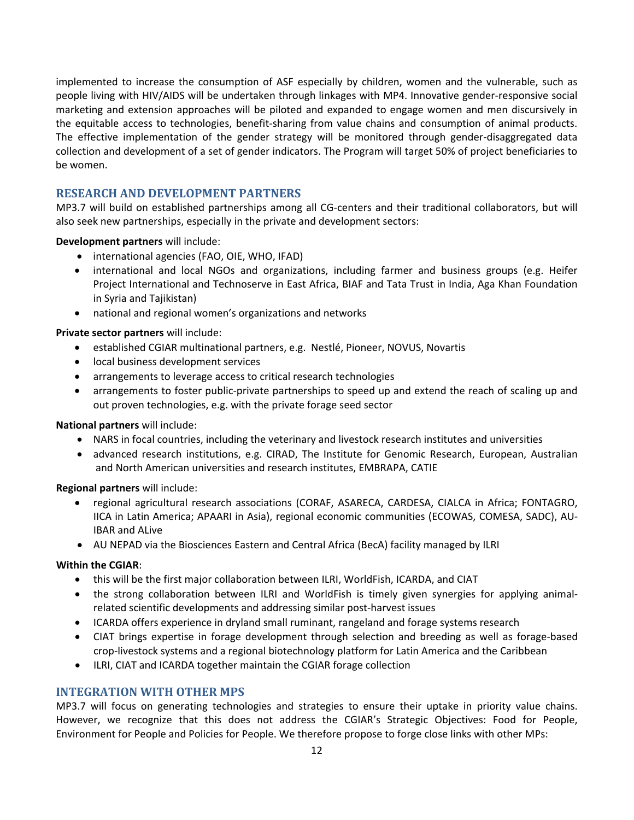implemented to increase the consumption of ASF especially by children, women and the vulnerable, such as people living with HIV/AIDS will be undertaken through linkages with MP4. Innovative gender‐responsive social marketing and extension approaches will be piloted and expanded to engage women and men discursively in the equitable access to technologies, benefit‐sharing from value chains and consumption of animal products. The effective implementation of the gender strategy will be monitored through gender‐disaggregated data collection and development of a set of gender indicators. The Program will target 50% of project beneficiaries to be women.

## **RESEARCH AND DEVELOPMENT PARTNERS**

MP3.7 will build on established partnerships among all CG‐centers and their traditional collaborators, but will also seek new partnerships, especially in the private and development sectors:

**Development partners** will include:

- international agencies (FAO, OIE, WHO, IFAD)
- international and local NGOs and organizations, including farmer and business groups (e.g. Heifer Project International and Technoserve in East Africa, BIAF and Tata Trust in India, Aga Khan Foundation in Syria and Tajikistan)
- national and regional women's organizations and networks

#### **Private sector partners** will include:

- established CGIAR multinational partners, e.g. Nestlé, Pioneer, NOVUS, Novartis
- local business development services
- arrangements to leverage access to critical research technologies
- arrangements to foster public-private partnerships to speed up and extend the reach of scaling up and out proven technologies, e.g. with the private forage seed sector

#### **National partners** will include:

- NARS in focal countries, including the veterinary and livestock research institutes and universities
- advanced research institutions, e.g. CIRAD, The Institute for Genomic Research, European, Australian and North American universities and research institutes, EMBRAPA, CATIE

#### **Regional partners** will include:

- regional agricultural research associations (CORAF, ASARECA, CARDESA, CIALCA in Africa; FONTAGRO, IICA in Latin America; APAARI in Asia), regional economic communities (ECOWAS, COMESA, SADC), AU‐ IBAR and ALive
- AU NEPAD via the Biosciences Eastern and Central Africa (BecA) facility managed by ILRI

#### **Within the CGIAR**:

- this will be the first major collaboration between ILRI, WorldFish, ICARDA, and CIAT
- the strong collaboration between ILRI and WorldFish is timely given synergies for applying animalrelated scientific developments and addressing similar post-harvest issues
- ICARDA offers experience in dryland small ruminant, rangeland and forage systems research
- CIAT brings expertise in forage development through selection and breeding as well as forage‐based crop‐livestock systems and a regional biotechnology platform for Latin America and the Caribbean
- ILRI, CIAT and ICARDA together maintain the CGIAR forage collection

#### **INTEGRATION WITH OTHER MPS**

MP3.7 will focus on generating technologies and strategies to ensure their uptake in priority value chains. However, we recognize that this does not address the CGIAR's Strategic Objectives: Food for People, Environment for People and Policies for People. We therefore propose to forge close links with other MPs: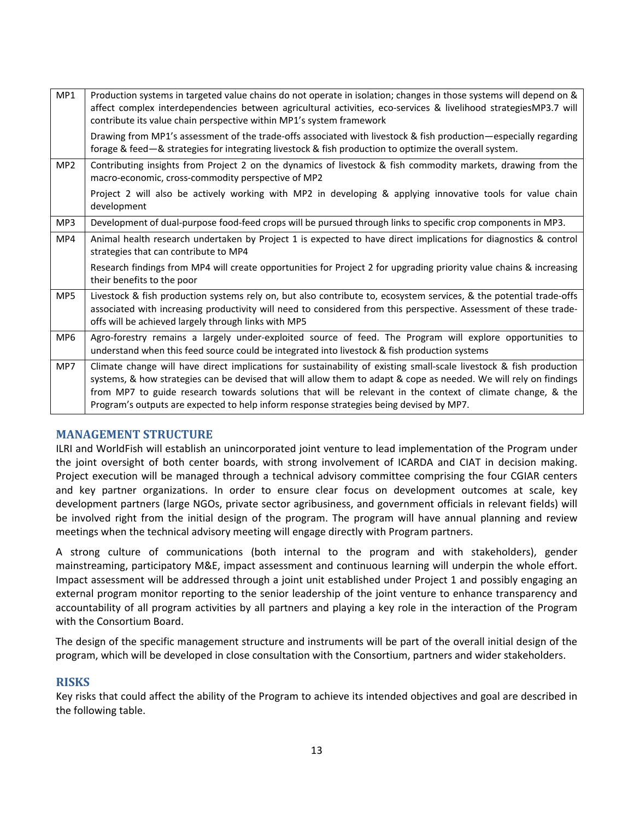| MP1             | Production systems in targeted value chains do not operate in isolation; changes in those systems will depend on &<br>affect complex interdependencies between agricultural activities, eco-services & livelihood strategiesMP3.7 will<br>contribute its value chain perspective within MP1's system framework                                                                                                                                    |
|-----------------|---------------------------------------------------------------------------------------------------------------------------------------------------------------------------------------------------------------------------------------------------------------------------------------------------------------------------------------------------------------------------------------------------------------------------------------------------|
|                 | Drawing from MP1's assessment of the trade-offs associated with livestock & fish production—especially regarding<br>forage & feed-& strategies for integrating livestock & fish production to optimize the overall system.                                                                                                                                                                                                                        |
| MP <sub>2</sub> | Contributing insights from Project 2 on the dynamics of livestock & fish commodity markets, drawing from the<br>macro-economic, cross-commodity perspective of MP2                                                                                                                                                                                                                                                                                |
|                 | Project 2 will also be actively working with MP2 in developing & applying innovative tools for value chain<br>development                                                                                                                                                                                                                                                                                                                         |
| MP3             | Development of dual-purpose food-feed crops will be pursued through links to specific crop components in MP3.                                                                                                                                                                                                                                                                                                                                     |
| MP4             | Animal health research undertaken by Project 1 is expected to have direct implications for diagnostics & control<br>strategies that can contribute to MP4                                                                                                                                                                                                                                                                                         |
|                 | Research findings from MP4 will create opportunities for Project 2 for upgrading priority value chains & increasing<br>their benefits to the poor                                                                                                                                                                                                                                                                                                 |
| MP5             | Livestock & fish production systems rely on, but also contribute to, ecosystem services, & the potential trade-offs<br>associated with increasing productivity will need to considered from this perspective. Assessment of these trade-<br>offs will be achieved largely through links with MP5                                                                                                                                                  |
| MP <sub>6</sub> | Agro-forestry remains a largely under-exploited source of feed. The Program will explore opportunities to<br>understand when this feed source could be integrated into livestock & fish production systems                                                                                                                                                                                                                                        |
| MP7             | Climate change will have direct implications for sustainability of existing small-scale livestock & fish production<br>systems, & how strategies can be devised that will allow them to adapt & cope as needed. We will rely on findings<br>from MP7 to guide research towards solutions that will be relevant in the context of climate change, & the<br>Program's outputs are expected to help inform response strategies being devised by MP7. |

#### **MANAGEMENT STRUCTURE**

ILRI and WorldFish will establish an unincorporated joint venture to lead implementation of the Program under the joint oversight of both center boards, with strong involvement of ICARDA and CIAT in decision making. Project execution will be managed through a technical advisory committee comprising the four CGIAR centers and key partner organizations. In order to ensure clear focus on development outcomes at scale, key development partners (large NGOs, private sector agribusiness, and government officials in relevant fields) will be involved right from the initial design of the program. The program will have annual planning and review meetings when the technical advisory meeting will engage directly with Program partners.

A strong culture of communications (both internal to the program and with stakeholders), gender mainstreaming, participatory M&E, impact assessment and continuous learning will underpin the whole effort. Impact assessment will be addressed through a joint unit established under Project 1 and possibly engaging an external program monitor reporting to the senior leadership of the joint venture to enhance transparency and accountability of all program activities by all partners and playing a key role in the interaction of the Program with the Consortium Board.

The design of the specific management structure and instruments will be part of the overall initial design of the program, which will be developed in close consultation with the Consortium, partners and wider stakeholders.

#### **RISKS**

Key risks that could affect the ability of the Program to achieve its intended objectives and goal are described in the following table.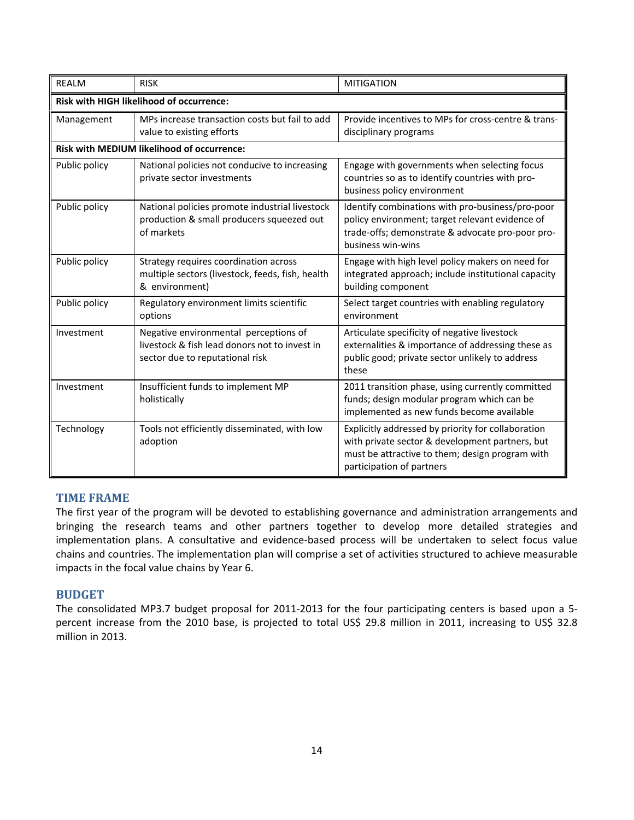| <b>REALM</b>                             | <b>RISK</b>                                                                                                               | <b>MITIGATION</b>                                                                                                                                                                     |  |
|------------------------------------------|---------------------------------------------------------------------------------------------------------------------------|---------------------------------------------------------------------------------------------------------------------------------------------------------------------------------------|--|
| Risk with HIGH likelihood of occurrence: |                                                                                                                           |                                                                                                                                                                                       |  |
| Management                               | MPs increase transaction costs but fail to add<br>value to existing efforts                                               | Provide incentives to MPs for cross-centre & trans-<br>disciplinary programs                                                                                                          |  |
|                                          | <b>Risk with MEDIUM likelihood of occurrence:</b>                                                                         |                                                                                                                                                                                       |  |
| Public policy                            | National policies not conducive to increasing<br>private sector investments                                               | Engage with governments when selecting focus<br>countries so as to identify countries with pro-<br>business policy environment                                                        |  |
| Public policy                            | National policies promote industrial livestock<br>production & small producers squeezed out<br>of markets                 | Identify combinations with pro-business/pro-poor<br>policy environment; target relevant evidence of<br>trade-offs; demonstrate & advocate pro-poor pro-<br>business win-wins          |  |
| Public policy                            | Strategy requires coordination across<br>multiple sectors (livestock, feeds, fish, health<br>& environment)               | Engage with high level policy makers on need for<br>integrated approach; include institutional capacity<br>building component                                                         |  |
| Public policy                            | Regulatory environment limits scientific<br>options                                                                       | Select target countries with enabling regulatory<br>environment                                                                                                                       |  |
| Investment                               | Negative environmental perceptions of<br>livestock & fish lead donors not to invest in<br>sector due to reputational risk | Articulate specificity of negative livestock<br>externalities & importance of addressing these as<br>public good; private sector unlikely to address<br>these                         |  |
| Investment                               | Insufficient funds to implement MP<br>holistically                                                                        | 2011 transition phase, using currently committed<br>funds; design modular program which can be<br>implemented as new funds become available                                           |  |
| Technology                               | Tools not efficiently disseminated, with low<br>adoption                                                                  | Explicitly addressed by priority for collaboration<br>with private sector & development partners, but<br>must be attractive to them; design program with<br>participation of partners |  |

## **TIME FRAME**

The first year of the program will be devoted to establishing governance and administration arrangements and bringing the research teams and other partners together to develop more detailed strategies and implementation plans. A consultative and evidence-based process will be undertaken to select focus value chains and countries. The implementation plan will comprise a set of activities structured to achieve measurable impacts in the focal value chains by Year 6.

## **BUDGET**

The consolidated MP3.7 budget proposal for 2011‐2013 for the four participating centers is based upon a 5‐ percent increase from the 2010 base, is projected to total US\$ 29.8 million in 2011, increasing to US\$ 32.8 million in 2013.